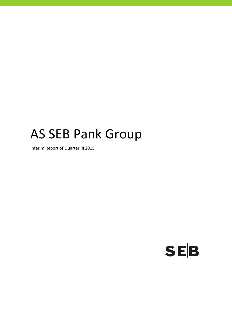# AS SEB Pank Group

Interim Report of Quarter III 2015

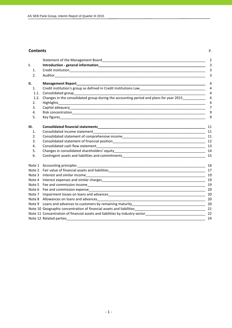#### **Contents** P.

|        |                                                                                                                                                                                                                               | 2              |
|--------|-------------------------------------------------------------------------------------------------------------------------------------------------------------------------------------------------------------------------------|----------------|
| ı.     |                                                                                                                                                                                                                               | 3              |
| 1.     |                                                                                                                                                                                                                               | 3              |
| 2.     |                                                                                                                                                                                                                               | 3              |
| II.    | <b>Management Report</b>                                                                                                                                                                                                      | $\overline{4}$ |
| 1.     | Credit institution's group as defined in Credit Institutions Law___________________________________                                                                                                                           | $\overline{4}$ |
| 1.1.   | Consolidated group                                                                                                                                                                                                            | $\overline{4}$ |
| 1.2.   | Changes in the consolidated group during the accounting period and plans for year 2015                                                                                                                                        | $\overline{4}$ |
| 2.     | <b>Highlights</b>                                                                                                                                                                                                             | $\overline{4}$ |
| 3.     |                                                                                                                                                                                                                               | 7              |
| 4.     |                                                                                                                                                                                                                               | 9              |
| 5.     |                                                                                                                                                                                                                               | 9              |
| III.   |                                                                                                                                                                                                                               | 11             |
| 1.     |                                                                                                                                                                                                                               | 11             |
| 2.     | Consolidated statement of comprehensive income entering the state of the consolidated statement of comprehensive income                                                                                                       |                |
| 3.     |                                                                                                                                                                                                                               |                |
| 4.     |                                                                                                                                                                                                                               | 13             |
| 5.     |                                                                                                                                                                                                                               | 14             |
| 6.     |                                                                                                                                                                                                                               | 15             |
| Note 1 |                                                                                                                                                                                                                               | 16             |
|        |                                                                                                                                                                                                                               |                |
|        |                                                                                                                                                                                                                               | 19             |
|        |                                                                                                                                                                                                                               | 19             |
|        |                                                                                                                                                                                                                               | 19             |
|        |                                                                                                                                                                                                                               | 20             |
| Note 7 |                                                                                                                                                                                                                               | 20             |
|        |                                                                                                                                                                                                                               |                |
|        |                                                                                                                                                                                                                               |                |
|        |                                                                                                                                                                                                                               |                |
|        | Note 11 Concentration of financial assets and liabilities by industry sector_________________________________                                                                                                                 | 22             |
|        | Note 12 Related parties and a series of the series of the series of the series of the series of the series of the series of the series of the series of the series of the series of the series of the series of the series of | 24             |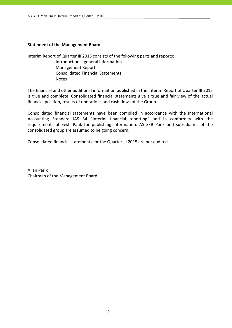#### **Statement of the Management Board**

Interim Report of Quarter III 2015 consists of the following parts and reports:

 Introduction – general information Management Report Consolidated Financial Statements Notes

The financial and other additional information published in the Interim Report of Quarter III 2015 is true and complete. Consolidated financial statements give a true and fair view of the actual financial position, results of operations and cash flows of the Group.

Consolidated financial statements have been compiled in accordance with the International Accounting Standard IAS 34 "Interim financial reporting" and in conformity with the requirements of Eesti Pank for publishing information. AS SEB Pank and subsidiaries of the consolidated group are assumed to be going concern.

Consolidated financial statements for the Quarter III 2015 are not audited.

Allan Parik Chairman of the Management Board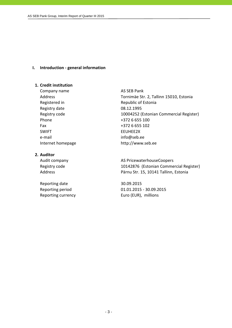#### **I. Introduction ‐ general information**

#### **1. Credit institution**

Company name AS SEB Pank Registry date 08.12.1995 Phone  $+3726655100$ Fax +372 6 655 102 SWIFT FUHET e-mail info@seb.ee

#### **2. Auditor**

Reporting date 30.09.2015

Address Tornimäe Str. 2, Tallinn 15010, Estonia Registered in Republic of Estonia Registry code 10004252 (Estonian Commercial Register) Internet homepage http://www.seb.ee

Audit company **AS PricewaterhouseCoopers** Registry code 10142876 (Estonian Commercial Register) Address **Pärnu Str. 15, 10141 Tallinn, Estonia** 

Reporting period 01.01.2015 ‐ 30.09.2015 Reporting currency **EUR** Euro (EUR), millions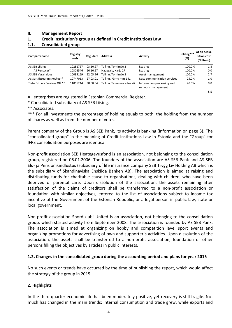#### **II. Management Report**

#### **1. Credit institution's group as defined in Credit Institutions Law**

#### **1.1. Consolidated group**

| Company name                 | Registry<br>code | Reg. date | Address                   | <b>Activity</b>                                  | Holding***<br>(%) | At an acqui-<br>sition cost<br>(EURmio) |
|------------------------------|------------------|-----------|---------------------------|--------------------------------------------------|-------------------|-----------------------------------------|
| AS SEB Liising               | 10281767         | 03.10.97  | Tallinn. Tornimäe 2       | Leasing                                          | 100.0%            | 1.8                                     |
| AS Rentacar*                 | 10303546         | 20.10.97  | Haapsalu, Karja 27        | Leasing                                          | 100.0%            | 0.0                                     |
| AS SEB Varahaldus            | 10035169         | 22.05.96  | Tallinn, Tornimäe 2       | Asset management                                 | 100.0%            | 2.7                                     |
| AS Sertifitseerimiskeskus**  | 10747013         | 27.03.01  | Tallinn. Pärnu mnt 141    | Data communication services                      | 25.0%             | 1.0                                     |
| Tieto Estonia Services OÜ ** | 11065244         | 30.08.04  | Tallinn. Tammsaare tee 47 | Information processing and<br>network management | 20.0%             | 0.0                                     |
|                              |                  |           |                           |                                                  |                   | 5.5                                     |

All enterprises are registered in Estonian Commercial Register.

\* Consolidated subsidiary of AS SEB Liising.

\*\* Associates.

\*\*\* For all investments the percentage of holding equals to both, the holding from the number of shares as well as from the number of votes.

Parent company of the Group is AS SEB Pank, its activity is banking (information on page 3). The "consolidated group" in the meaning of Credit Institutions Law in Estonia and the "Group" for IFRS consolidation purposes are identical.

Non‐profit association SEB Heategevusfond is an association, not belonging to the consolidation group, registered on 06.01.2006. The founders of the association are AS SEB Pank and AS SEB Elu‐ ja Pensionikindlustus (subsidiary of life insurance company SEB Trygg Liv Holding AB which is the subsidiary of Skandinaviska Enskilda Banken AB). The association is aimed at raising and distributing funds for charitable cause to organisations, dealing with children, who have been deprived of parental care. Upon dissolution of the association, the assets remaining after satisfaction of the claims of creditors shall be transferred to a non-profit association or foundation with similar objectives, entered to the list of associations subject to income tax incentive of the Government of the Estonian Republic, or a legal person in public law, state or local government.

Non‐profit association Spordiklubi United is an association, not belonging to the consolidation group, which started activity from September 2008. The association is founded by AS SEB Pank. The association is aimed at organizing on hobby and competition level sport events and organizing promotions for advertising of own and supporter´s activities. Upon dissolution of the association, the assets shall be transferred to a non‐profit association, foundation or other persons filling the objectives by articles in public interests.

#### **1.2. Changes in the consolidated group during the accounting period and plans for year 2015**

No such events or trends have occurred by the time of publishing the report, which would affect the strategy of the group in 2015.

#### **2. Highlights**

In the third quarter economic life has been moderately positive, yet recovery is still fragile. Not much has changed in the main trends: internal consumption and trade grew, while exports and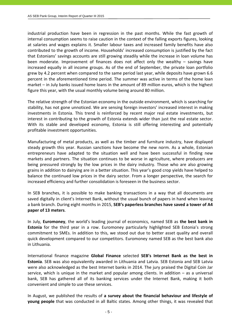industrial production have been in regression in the past months. While the fast growth of internal consumption seems to raise caution in the context of the falling exports figures, looking at salaries and wages explains it. Smaller labour taxes and increased family benefits have also contributed to the growth of income. Households' increased consumption is justified by the fact that Estonians' savings accounts are still growing steadily while the increase in loan volume has been moderate. Improvement of finances does not affect only the wealthy – savings have increased equally in all income groups. As of the end of September, the private loan portfolio grew by 4.2 percent when compared to the same period last year, while deposits have grown 6.6 percent in the aforementioned time period. The summer was active in terms of the home loan market – in July banks issued home loans in the amount of 89 million euros, which is the highest figure this year, with the usual monthly volume being around 80 million.

The relative strength of the Estonian economy in the outside environment, which is searching for stability, has not gone unnoticed. We are sensing foreign investors' increased interest in making investments in Estonia. This trend is reinforced by recent major real estate investments, but interest in contributing to the growth of Estonia extends wider than just the real estate sector. With its stable and developed economy, Estonia is still offering interesting and potentially profitable investment opportunities.

Manufacturing of metal products, as well as the timber and furniture industry, have displayed steady growth this year. Russian sanctions have become the new norm. As a whole, Estonian entrepreneurs have adapted to the situation well and have been successful in finding new markets and partners. The situation continues to be worse in agriculture, where producers are being pressured strongly by the low prices in the dairy industry. Those who are also growing grains in addition to dairying are in a better situation. This year's good crop yields have helped to balance the continued low prices in the dairy sector. From a longer perspective, the search for increased efficiency and further consolidation is foreseen in the business sector.

In SEB branches, it is possible to make banking transactions in a way that all documents are saved digitally in client's Internet Bank, without the usual bunch of papers in hand when leaving a bank branch. During eight months in 2015, **SEB's paperless branches have saved a tower of A4 paper of 13 meters**.

In July, **Euromoney**, the world's leading journal of economics, named SEB as **the best bank in Estonia** for the third year in a row. Euromoney particularly highlighted SEB Estonia's strong commitment to SMEs. In addition to this, we stood out due to better asset quality and overall quick development compared to our competitors. Euromoney named SEB as the best bank also in Lithuania.

International finance magazine **Global Finance** selected **SEB's Internet Bank as the best in Estonia**. SEB was also equivalently awarded in Lithuania and Latvia. SEB Estonia and SEB Latvia were also acknowledged as the best Internet banks in 2014. The jury praised the Digital Coin Jar service, which is unique in the market and popular among clients. In addition  $-$  as a universal bank, SEB has gathered all of its banking services under the Internet Bank, making it both convenient and simple to use these services.

In August, we published the results of **a survey about the financial behaviour and lifestyle of young people** that was conducted in all Baltic states. Among other things, it was revealed that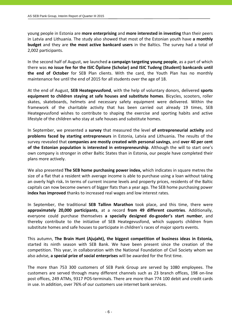young people in Estonia are **more enterprising** and **more interested in investing** than their peers in Latvia and Lithuania. The study also showed that most of the Estonian youth have **a monthly budget** and they are **the most active bankcard users** in the Baltics. The survey had a total of 2,002 participants.

In the second half of August, we launched **a campaign targeting young people**, as a part of which there was **no issue fee for the ISIC Õpilane (Scholar) and ISIC Tudeng (Student) bankcards until the end of October** for SEB Plan clients. With the card, the Youth Plan has no monthly maintenance fee until the end of 2015 for all students over the age of 18.

At the end of August, **SEB Heategevusfond**, with the help of voluntary donors, delivered **sports equipment to children staying at safe houses and substitute homes**. Bicycles, scooters, roller skates, skateboards, helmets and necessary safety equipment were delivered. Within the framework of the charitable activity that has been carried out already 19 times, SEB Heategevusfond wishes to contribute to shaping the exercise and sporting habits and active lifestyle of the children who stay at safe houses and substitute homes.

In September, we presented a **survey** that measured the level **of entrepreneurial activity** and **problems faced by starting entrepreneurs** in Estonia, Latvia and Lithuania**.** The results of the survey revealed that **companies are mostly created with personal savings**, and **over 40 per cent of the Estonian population is interested in entrepreneurship**. Although the will to start one's own company is stronger in other Baltic States than in Estonia, our people have completed their plans more actively.

We also presented **The SEB home purchasing power index,** which indicates in square metres the size of a flat that a resident with average income is able to purchase using a loan without taking an overly high risk**.** In terms of current income levels and property prices, residents of the Baltic capitals can now become owners of bigger flats than a year ago. The SEB home purchasing power **index has improved** thanks to increased real wages and low interest rates.

In September, the traditional **SEB Tallinn Marathon** took place, and this time, there were **approximately 20,000 participants**, at a record **from 49 different countries**. Additionally, everyone could purchase themselves **a specially designed do‐gooder's start number**, and thereby contribute to the initiative of SEB Heategevusfond, which supports children from substitute homes and safe houses to participate in children's races of major sports events.

This autumn, **The Brain Hunt (Ajujaht), the biggest competition of business ideas in Estonia,** started its ninth season with SEB Bank. We have been present since the creation of the competition. This year, in collaboration with the National Foundation of Civil Society whom we also advise, **a special prize of social enterprises** will be awarded for the first time.

The more than 753 300 customers of SEB Pank Group are served by 1080 employees. The customers are served through many different channels such as 23 branch offices, 198 on‐line post offices, 249 ATMs, 9317 POS‐terminals. There are more than 774 100 debit and credit cards in use. In addition, over 76% of our customers use internet bank services.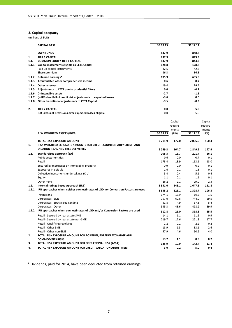#### **3. Capital adequacy**

(millions of EUR)

|        | <b>CAPITAL BASE</b>                                                    | 30.09.15 | 31.12.14 |
|--------|------------------------------------------------------------------------|----------|----------|
|        | <b>OWN FUNDS</b>                                                       | 837.9    | 848.8    |
| 1.     | TIER 1 CAPITAL                                                         | 837.9    | 843.3    |
| 1.1.   | <b>COMMON EQUITY TIER 1 CAPITAL</b>                                    | 837.9    | 843.3    |
| 1.1.1. | Capital instruments eligible as CET1 Capital                           | 128.8    | 128.8    |
|        | Paid up capital instruments                                            | 42.5     | 42.5     |
|        | Share premium                                                          | 86.3     | 86.3     |
|        | 1.1.2. Retained earnings*                                              | 695.9    | 695.9    |
|        | 1.1.3. Accumulated other comprehensive income                          | 0.6      | 0.7      |
| 1.1.4. | <b>Other reserves</b>                                                  | 19.4     | 19.4     |
|        | 1.1.5. Adjustments to CET1 due to prudential filters                   | 0.0      | $-0.1$   |
|        | 1.1.6. (-) Intangible assets                                           | $-2.7$   | $-1.1$   |
|        | 1.1.7. (-) IRB shortfall of credit risk adjustments to expected losses | $-3.6$   | 0.0      |
|        | 1.1.8. Other transitional adjustments to CET1 Capital                  | $-0.5$   | $-0.3$   |
| 2.     | TIER 2 CAPITAL                                                         | 0.0      | 5.5      |
|        | IRB Excess of provisions over expected losses eligible                 | 0.0      | 5.5      |

|      |                                                                                         |           | Capital  |           | Capital  |
|------|-----------------------------------------------------------------------------------------|-----------|----------|-----------|----------|
|      |                                                                                         |           | require- |           | require- |
|      |                                                                                         |           | ments    |           | ments    |
|      | RISK WEIGHTED ASSETS (RWA)                                                              | 30.09.15  | (8%)     | 31.12.14  | (8%)     |
|      | <b>TOTAL RISK EXPOSURE AMOUNT</b>                                                       | 2 2 1 1.9 | 177.0    | 2 0 0 5.5 | 160.4    |
| 1.   | RISK WEIGHTED EXPOSURE AMOUNTS FOR CREDIT, COUNTERPARTY CREDIT AND                      |           |          |           |          |
|      | <b>DILUTION RISKS AND FREE DELIVERIES</b>                                               | 2059.3    | 164.7    | 1849.2    | 147.9    |
| 1.1. | Standardised approach (SA)                                                              | 208.3     | 16.7     | 201.7     | 16.1     |
|      | Public sector entities                                                                  | 0.6       | 0.0      | 0.7       | 0.1      |
|      | Retail                                                                                  | 173.4     | 13.9     | 163.1     | 13.0     |
|      | Secured by mortgages on immovable property                                              | 0.0       | 0.0      | 0.9       | 0.1      |
|      | Exposures in default                                                                    | 1.6       | 0.1      | 1.8       | 0.1      |
|      | Collective investments undertakings (CIU)                                               | 5.4       | 0.4      | 5.1       | 0.4      |
|      | Equity                                                                                  | 1.1       | 0.1      | 1.1       | 0.1      |
|      | Other items                                                                             | 26.2      | 2.1      | 29.0      | 2.3      |
| 1.2. | Internal ratings based Approach (IRB)                                                   | 1851.0    | 148.1    | 1647.5    | 131.8    |
|      | 1.2.1. IRB approaches when neither own estimates of LGD nor Conversion Factors are used | 1538.2    | 123.1    | 1328.7    | 106.3    |
|      | Institutions                                                                            | 174.1     | 13.9     | 19.2      | 1.5      |
|      | Corporates - SME                                                                        | 757.0     | 60.6     | 744.0     | 59.5     |
|      | Corporates - Specialised Lending                                                        | 61.8      | 4.9      | 67.3      | 5.4      |
|      | Corporates - Other                                                                      | 545.3     | 43.6     | 498.2     | 39.9     |
|      | 1.2.2. IRB approaches when own estimates of LGD and/or Conversion Factors are used      | 312.8     | 25.0     | 318.8     | 25.5     |
|      | Retail - Secured by real estate SME                                                     | 14.1      | 1.1      | 11.6      | 0.9      |
|      | Retail - Secured by real estate non-SME                                                 | 219.7     | 17.6     | 221.3     | 17.7     |
|      | Retail - Qualifying revolving                                                           | 2.2       | 0.2      | 2.2       | 0.2      |
|      | Retail - Other SME                                                                      | 18.9      | 1.5      | 33.1      | 2.6      |
|      | Retail - Other non-SME                                                                  | 57.9      | 4.6      | 50.6      | 4.0      |
| 2.   | TOTAL RISK EXPOSURE AMOUNT FOR POSITION, FOREIGN EXCHANGE AND                           |           |          |           |          |
|      | <b>COMMODITIES RISKS</b>                                                                | 13.7      | 1.1      | 8.9       | 0.7      |
| З.   | TOTAL RISK EXPOSURE AMOUNT FOR OPERATIONAL RISK (AMA)                                   | 135.9     | 10.9     | 142.4     | 11.4     |
| 4.   | TOTAL RISK EXPOSURE AMOUNT FOR CREDIT VALUATION ADJUSTMENT                              | 3.0       | 0.2      | 5.0       | 0.4      |

\* Dividends, paid for 2014, have been deducted from retained earnings.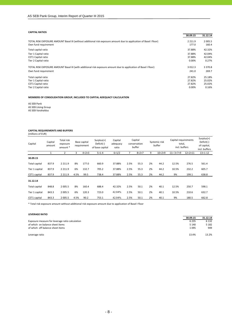#### **CAPITAL RATIOS**

|                                                                                                                                            | 30.09.15           | 31.12.14           |
|--------------------------------------------------------------------------------------------------------------------------------------------|--------------------|--------------------|
| TOTAL RISK EXPOSURE AMOUNT Basel III (without additional risk exposure amount due to application of Basel I floor)<br>Own fund requirement | 2 2 1 1.9<br>177.0 | 2 0 0 5.5<br>160.4 |
| Total capital ratio                                                                                                                        | 37.88%             | 42.32%             |
| Tier 1 Capital ratio                                                                                                                       | 37.88%             | 42.04%             |
| CET1 Capital ratio                                                                                                                         | 37.88%             | 42.04%             |
| Tier 2 Capital ratio                                                                                                                       | 0.00%              | 0.27%              |
| TOTAL RISK EXPOSURE AMOUNT Basel III (with additional risk exposure amount due to application of Basel I floor)                            | 3 0 1 2 . 3        | 3 3 7 0.8          |
| Own fund requirement                                                                                                                       | 241.0              | 269.7              |
| Total capital ratio                                                                                                                        | 27.82%             | 25.18%             |
| Tier 1 Capital ratio                                                                                                                       | 27.82%             | 25.02%             |
| CET1 Capital ratio                                                                                                                         | 27.82%             | 25.02%             |
| Tier 2 Capital ratio                                                                                                                       | 0.00%              | 0.16%              |

**MEMBERS OF CONSOLIDATION GROUP, INCLUDED TO CAPITAL ADEQUACY CALCULATION**

AS SEB Pank AS SEB Liising Group AS SEB Varahaldus

# **CAPITAL REQUIREMENTS AND BUFFERS**

(millions of EUR)

| Capital        | Capital<br>amount | Total risk<br>exposure<br>amount * |      | Base capital<br>requirement | $Surplus(+)$<br>Deficit(-)<br>of base capital | Capital<br>adeguacy<br>ratio |      | Capital<br>conservation<br>buffer |    | Systemic risk<br>buffer | Capital requirements<br>total,<br>incl. buffers |                    | $Surplus(+)$<br>Deficit(-)<br>of capital,<br>incl. buffers |
|----------------|-------------------|------------------------------------|------|-----------------------------|-----------------------------------------------|------------------------------|------|-----------------------------------|----|-------------------------|-------------------------------------------------|--------------------|------------------------------------------------------------|
|                |                   |                                    | 3    | $4=2\times3$                | $5 = 1 - 4$                                   | $6=1/2$                      |      | $8=2\times7$                      | 9  | $10 = 2 \times 9$       | $11 = 3 + 7 + 9$                                | $12 = 2 \times 11$ | $13 = 1 - 12$                                              |
| 30.09.15       |                   |                                    |      |                             |                                               |                              |      |                                   |    |                         |                                                 |                    |                                                            |
| Total capital  | 837.9             | 2 2 1 1.9                          | 8%   | 177.0                       | 660.9                                         | 37.88%                       | 2.5% | 55.3                              | 2% | 44.2                    | 12.5%                                           | 276.5              | 561.4                                                      |
| Tier 1 capital | 837.9             | 2 2 1 1.9                          | 6%   | 132.7                       | 705.2                                         | 37.88%                       | 2.5% | 55.3                              | 2% | 44.2                    | 10.5%                                           | 232.2              | 605.7                                                      |
| CET1 capital   | 837.9             | 2 2 1 1.9                          | 4.5% | 99.5                        | 738.4                                         | 37.88%                       | 2.5% | 55.3                              | 2% | 44.2                    | 9%                                              | 199.1              | 638.8                                                      |
| 31.12.14       |                   |                                    |      |                             |                                               |                              |      |                                   |    |                         |                                                 |                    |                                                            |
| Total capital  | 848.8             | 2 0 0 5.5                          | 8%   | 160.4                       | 688.4                                         | 42.32%                       | 2.5% | 50.1                              | 2% | 40.1                    | 12.5%                                           | 250.7              | 598.1                                                      |
| Tier 1 capital | 843.3             | 2 0 0 5.5                          | 6%   | 120.3                       | 723.0                                         | 42.04%                       | 2.5% | 50.1                              | 2% | 40.1                    | 10.5%                                           | 210.6              | 632.7                                                      |
| CET1 capital   | 843.3             | 2 0 0 5.5                          | 4.5% | 90.2                        | 753.1                                         | 42.04%                       | 2.5% | 50.1                              | 2% | 40.1                    | 9%                                              | 180.5              | 662.8                                                      |

\* Total risk exposure amount without additional risk exposure amount due to application of Basel I floor

| <b>LEVERAGE RATIO</b>                           |          |          |
|-------------------------------------------------|----------|----------|
|                                                 | 30.09.15 | 31.12.14 |
| Exposure measure for leverage ratio calculation | 6 2 3 5  | 6 1 3 2  |
| of which on balance sheet items                 | 5 1 4 0  | 5 1 8 2  |
| of which off balance sheet items                | 1095     | 949      |
| Leverage ratio                                  | 13.4%    | 13.2%    |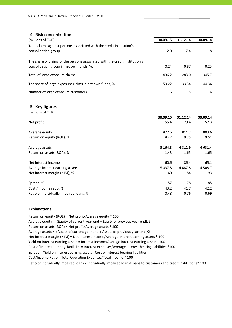| 4. Risk concentration                                                       |          |          |          |
|-----------------------------------------------------------------------------|----------|----------|----------|
| (millions of EUR)                                                           | 30.09.15 | 31.12.14 | 30.09.14 |
| Total claims against persons associated with the credit institution's       |          |          |          |
| consolidation group                                                         | 2.0      | 7.4      | 1.8      |
| The share of claims of the persons associated with the credit institution's |          |          |          |
| consolidation group in net own funds, %,                                    | 0.24     | 0.87     | 0.23     |
| Total of large exposure claims                                              | 496.2    | 283.0    | 345.7    |
| The share of large exposure claims in net own funds, %                      | 59.22    | 33.34    | 44.36    |
| Number of large exposure customers                                          | 6        | 5        | 6        |

|  | 5. Key figures |  |  |
|--|----------------|--|--|
|--|----------------|--|--|

| (millions of EUR)                       |             |           |           |
|-----------------------------------------|-------------|-----------|-----------|
|                                         | 30.09.15    | 31.12.14  | 30.09.14  |
| Net profit                              | 55.4        | 79.4      | 57.3      |
| Average equity                          | 877.6       | 814.7     | 803.6     |
| Return on equity (ROE), %               | 8.42        | 9.75      | 9.51      |
| Average assets                          | 5 1 6 4 . 8 | 4 8 1 2.9 | 4 6 3 1.4 |
| Return on assets (ROA), %               | 1.43        | 1.65      | 1.65      |
| Net interest income                     | 60.6        | 86.4      | 65.1      |
| Average interest earning assets         | 5 0 3 7 . 8 | 4 687.8   | 4 5 0 8.7 |
| Net interest margin (NIM), %            | 1.60        | 1.84      | 1.93      |
| Spread, %                               | 1.57        | 1.78      | 1.85      |
| Cost / Income ratio, %                  | 43.2        | 41.7      | 42.2      |
| Ratio of individually impaired loans, % | 0.48        | 0.76      | 0.69      |

#### **Explanations**

Return on equity (ROE) = Net profit/Average equity \* 100 Average equity = (Equity of current year end + Equity of previous year end)/2 Return on assets (ROA) = Net profit/Average assets \* 100 Average assets = (Assets of current year end + Assets of previous year end)/2 Cost of interest bearing liabilities = Interest expenses/Average interest bearing liabilities \*100 Cost/Income Ratio = Total Operating Expenses/Total Income \* 100 Spread = Yield on interest earning assets ‐ Cost of interest bearing liabilities Ratio of individually impaired loans = Individually impaired loans/Loans to customers and credit institutions\* 100 Net interest margin (NIM) = Net interest income/Average interest earning assets \* 100 Yield on interest earning assets = Interest income/Average interest earning assets \*100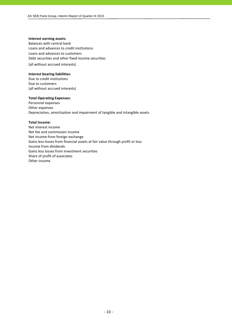#### **Interest earning assets:**

Balances with central bank Loans and advances to credit institutions Loans and advances to customers Debt securities and other fixed income securities (all without accrued interests)

#### **Interest bearing liabilities:**

Due to credit institutions Due to customers (all without accrued interests)

#### **Total Operating Expenses:**

Personnel expenses Other expenses Depreciation, amortisation and impairment of tangible and intangible assets

#### **Total Income:**

Net interest income Net fee and commission income Net income from foreign exchange Gains less losses from financial assets at fair value through profit or loss Income from dividends Gains less losses from investment securities Share of profit of associates Other income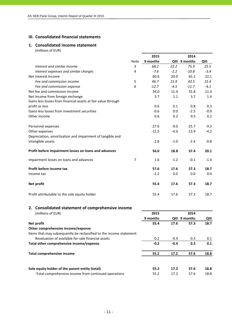## **III. Consolidated financial statements**

#### **1. Consolidated income statement** (millions of EUR)

|                                                               |                | 2015     |        | 2014          |        |
|---------------------------------------------------------------|----------------|----------|--------|---------------|--------|
|                                                               | Note           | 9 months |        | QIII 9 months | QIII   |
| Interest and similar income                                   | 3              | 68.2     | 22.2   | 75.9          | 25.5   |
| Interest expenses and similar charges                         | 4              | $-7.6$   | $-2.2$ | $-10.8$       | $-3.4$ |
| Net Interest Income                                           |                | 60.6     | 20.0   | 65.1          | 22.1   |
| Fee and commission income                                     | 5              | 46.7     | 15.9   | 43.5          | 15.4   |
| Fee and commission expense                                    | 6              | $-12.7$  | $-4.5$ | $-11.7$       | $-4.1$ |
| Net fee and commission income                                 |                | 34.0     | 11.4   | 31.8          | 11.3   |
| Net income from foreign exchange                              |                | 3.7      | 1.1    | 3.7           | 1.4    |
| Gains less losses from financial assets at fair value through |                |          |        |               |        |
| profit or loss                                                |                | 0.6      | 0.1    | 0.8           | 0.3    |
| Gains less losses from investment securities                  |                | $-0.6$   | 0.0    | $-2.5$        | $-0.9$ |
| Other income                                                  |                | 0.6      | 0.2    | 0.5           | 0.2    |
| Personnel expenses                                            |                | $-27.6$  | $-9.0$ | $-25.7$       | $-9.3$ |
| Other expenses                                                |                | $-12.5$  | $-4.0$ | $-13.9$       | $-4.2$ |
| Depreciation, amortisation and impairment of tangible and     |                |          |        |               |        |
| intangible assets                                             |                | $-2.8$   | $-1.0$ | $-2.4$        | $-0.8$ |
| Profit before impairment losses on loans and advances         |                | 56.0     | 18.8   | 57.4          | 20.1   |
| Impairment losses on loans and advances                       | $\overline{7}$ | 1.6      | $-1.2$ | $-0.1$        | $-1.4$ |
| Profit before income tax                                      |                | 57.6     | 17.6   | 57.3          | 18.7   |
| Income tax                                                    |                | $-2.2$   | 0.0    | 0.0           | 0.0    |
| Net profit                                                    |                | 55.4     | 17.6   | 57.3          | 18.7   |
| Profit attributable to the sole equity holder                 |                | 55.4     | 17.6   | 57.3          | 18.7   |
| 2. Consolidated statement of comprehensive income             |                |          |        |               |        |
| (millions of EUR)                                             |                | 2015     |        | 2014          |        |
|                                                               |                | 9 months |        | QIII 9 months | QIII   |
| Net profit                                                    |                | 55.4     | 17.6   | 57.3          | 18.7   |

| <b>IVEL PLOTE</b>                                                    | 33.4   | 17.O   |      | 10.7 |
|----------------------------------------------------------------------|--------|--------|------|------|
| Other comprehensive income/expense                                   |        |        |      |      |
| Items that may subsequently be reclassified to the income statement: |        |        |      |      |
| Revaluation of available-for-sale financial assets                   | $-0.2$ | $-0.4$ | 0.3  | 0.1  |
| Total other comprehensive income/expense                             | $-0.2$ | $-0.4$ | 0.3  | 0.1  |
| Total comprehensive income                                           | 55.2   | 17.2   | 57.6 | 18.8 |
| Sole equity holder of the parent entity (total)                      | 55.2   | 17.2   | 57.6 | 18.8 |
| -Total comprehensive income from continued operations                | 55.2   | 17.2   | 57.6 | 18.8 |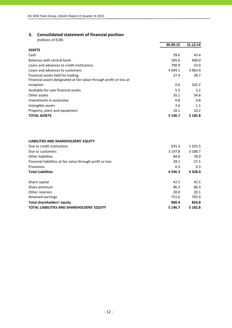# **3. Consolidated statement of financial position**

(millions of EUR)

|                                                                     | 30.09.15    | 31.12.14    |
|---------------------------------------------------------------------|-------------|-------------|
| <b>ASSETS</b>                                                       |             |             |
| Cash                                                                | 39.6        | 43.4        |
| Balances with central bank                                          | 185.6       | 940.0       |
| Loans and advances to credit institutions                           | 790.9       | 53.0        |
| Loans and advances to customers                                     | 4 0 4 9 . 1 | 3 9 6 3 . 4 |
| Financial assets held for trading                                   | 27.4        | 28.7        |
| Financial assets designated at fair value through profit or loss at |             |             |
| inception                                                           | 0.0         | 102.2       |
| Available-for-sale financial assets                                 | 5.5         | 5.2         |
| Other assets                                                        | 35.1        | 34.8        |
| Investments in associates                                           | 0.8         | 0.8         |
| Intangible assets                                                   | 2.6         | 1.1         |
| Property, plant and equipment                                       | 10.1        | 10.2        |
| <b>TOTAL ASSETS</b>                                                 | 5 1 4 6 . 7 | 5 182.8     |

#### **LIABILITIES AND SHAREHOLDERS' EQUITY**

| Due to credit institutions                                 | 935.3       | 1 0 3 3 .5  |
|------------------------------------------------------------|-------------|-------------|
| Due to customers                                           | 3 197.8     | 3 188.7     |
| Other liabilities                                          | 84.8        | 78.0        |
| Financial liabilities at fair value through profit or loss | 28.1        | 27.5        |
| Provisions                                                 | 0.3         | 0.3         |
| <b>Total Liabilities</b>                                   | 4 2 4 6 .3  | 4 3 2 8 .0  |
| Share capital                                              | 42.5        | 42.5        |
| Share premium                                              | 86.3        | 86.3        |
| Other reserves                                             | 20.0        | 20.1        |
| Retained earnings                                          | 751.6       | 705.9       |
| Total shareholders' equity                                 | 900.4       | 854.8       |
| <b>TOTAL LIABILITIES AND SHAREHOLDERS' EQUITY</b>          | 5 1 4 6 . 7 | 5 1 8 2 . 8 |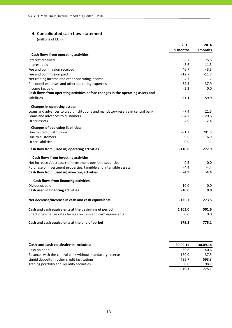## **4. Consolidated cash flow statement**

(millions of EUR)

|                                                                                 | 2015     | 2014     |
|---------------------------------------------------------------------------------|----------|----------|
|                                                                                 | 9 months | 9 months |
| I. Cash flows from operating activities                                         |          |          |
| Interest received                                                               | 68.7     | 75.6     |
| Interest paid                                                                   | $-8.6$   | $-11.3$  |
| Fee and commission received                                                     | 46.7     | 43.5     |
| Fee and commission paid                                                         | $-12.7$  | $-11.7$  |
| Net trading income and other operating income                                   | 4.7      | 1.7      |
| Personnel expenses and other operating expenses                                 | $-39.5$  | $-37.9$  |
| Income tax paid                                                                 | $-2.2$   | 0.0      |
| Cash flows from operating activities before changes in the operating assets and |          |          |
| liabilities                                                                     | 57.1     | 59.9     |
| <b>Changes in operating assets:</b>                                             |          |          |
| Loans and advances to credit institutions and mandatory reserve in central bank | $-7.4$   | 21.5     |
| Loans and advances to customers                                                 | $-84.7$  | $-120.6$ |
| Other assets                                                                    | 4.9      | $-2.4$   |
| <b>Changes of operating liabilities:</b>                                        |          |          |
| Due to credit institutions                                                      | $-91.2$  | 201.5    |
| Due to customers                                                                | 9.6      | 116.9    |
| Other liabilities                                                               | 0.9      | 1.1      |
| Cash flow from (used in) operating activities                                   | $-110.8$ | 277.9    |
| II. Cash flows from investing activities                                        |          |          |
| Net increase-/decrease+ of investment portfolio securities                      | $-0.5$   | 0.0      |
| Purchase of investment properties, tangible and intangible assets               | $-4.4$   | $-4.4$   |
| Cash flow from (used in) investing activities                                   | $-4.9$   | $-4.4$   |
| III. Cash flows from financing activities                                       |          |          |
| Dividends paid                                                                  | $-10.0$  | 0.0      |
| Cash used in financing activities                                               | $-10.0$  | 0.0      |
| Net decrease/increase in cash and cash equivalents                              | $-125.7$ | 273.5    |
| Cash and cash equivalents at the beginning of period                            | 1 105.0  | 501.6    |
| Effect of exchange rate changes on cash and cash equivalents                    | 0.0      | 0.0      |
| Cash and cash equivalents at the end of period                                  | 979.3    | 775.1    |

| Cash and cash equivalents includes:                      | 30.09.15 | 30.09.14 |
|----------------------------------------------------------|----------|----------|
| Cash on hand                                             | 39.6     | 40.6     |
| Balances with the central bank without mandatory reserve | 150.0    | 37.5     |
| Liquid deposits in other credit institutions             | 789.7    | 598.3    |
| Trading portfolio and liquidity securities               | 0.0      | 98.7     |
|                                                          | 979.3    | 775.1    |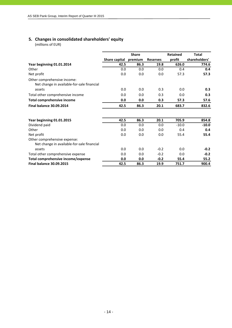# **5. Changes in consolidated shareholders' equity**

(millions of EUR)

|                                                                            |               | <b>Share</b> |                 | <b>Retained</b> | <b>Total</b>  |
|----------------------------------------------------------------------------|---------------|--------------|-----------------|-----------------|---------------|
|                                                                            | Share capital | premium      | <b>Reserves</b> | profit          | shareholders' |
| Year beginning 01.01.2014                                                  | 42.5          | 86.3         | 19.8            | 626.0           | 774.6         |
| Other                                                                      | 0.0           | 0.0          | 0.0             | 0.4             | 0.4           |
| Net profit                                                                 | 0.0           | 0.0          | 0.0             | 57.3            | 57.3          |
| Other comprehensive income:<br>Net change in available-for-sale financial  |               |              |                 |                 |               |
| assets                                                                     | 0.0           | 0.0          | 0.3             | 0.0             | 0.3           |
| Total other comprehensive income                                           | 0.0           | 0.0          | 0.3             | 0.0             | 0.3           |
| <b>Total comprehensive income</b>                                          | 0.0           | 0.0          | 0.3             | 57.3            | 57.6          |
| <b>Final balance 30.09.2014</b>                                            | 42.5          | 86.3         | 20.1            | 683.7           | 832.6         |
| Year beginning 01.01.2015                                                  | 42.5          | 86.3         | 20.1            | 705.9           | 854.8         |
| Dividend paid                                                              | 0.0           | 0.0          | 0.0             | $-10.0$         | $-10.0$       |
| Other                                                                      | 0.0           | 0.0          | 0.0             | 0.4             | 0.4           |
| Net profit                                                                 | 0.0           | 0.0          | 0.0             | 55.4            | 55.4          |
| Other comprehensive expense:<br>Net change in available-for-sale financial |               |              |                 |                 |               |
| assets                                                                     | 0.0           | 0.0          | $-0.2$          | 0.0             | $-0.2$        |
| Total other comprehensive expense                                          | 0.0           | 0.0          | $-0.2$          | 0.0             | $-0.2$        |
| Total comprehensive income/expense                                         | 0.0           | 0.0          | $-0.2$          | 55.4            | 55.2          |
| <b>Final balance 30.09.2015</b>                                            | 42.5          | 86.3         | 19.9            | 751.7           | 900.4         |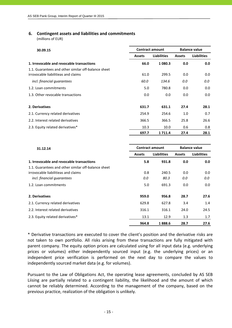## **6. Contingent assets and liabilities and commitments**

(millions of EUR)

| 30.09.15                                            | <b>Balance value</b><br><b>Contract amount</b> |                    |               |                    |
|-----------------------------------------------------|------------------------------------------------|--------------------|---------------|--------------------|
|                                                     | <b>Assets</b>                                  | <b>Liabilities</b> | <b>Assets</b> | <b>Liabilities</b> |
| 1. Irrevocable and revocable transactions           | 66.0                                           | 1080.3             | 0.0           | 0.0                |
| 1.1. Guarantees and other similar off-balance sheet |                                                |                    |               |                    |
| irrovocable liabilitieas and claims                 | 61.0                                           | 299.5              | 0.0           | 0.0                |
| incl. financial quarantees                          | 60.0                                           | 134.6              | 0.0           | 0.0                |
| 1.2. Loan commitments                               | 5.0                                            | 780.8              | 0.0           | 0.0                |
| 1.3. Other revocable transactions                   | 0.0                                            | 0.0                | 0.0           | 0.0                |
| 2. Derivatives                                      | 631.7                                          | 631.1              | 27.4          | 28.1               |
| 2.1. Currency related derivatives                   | 254.9                                          | 254.6              | 1.0           | 0.7                |
| 2.2. Interest related derivatives                   | 366.5                                          | 366.5              | 25.8          | 26.6               |
| 2.3. Equity related derivatives*                    | 10.3                                           | 10.0               | 0.6           | 0.8                |
|                                                     | 697.7                                          | 1711.4             | 27.4          | 28.1               |

| 31.12.14                                            | <b>Contract amount</b> |                    | <b>Balance value</b> |                    |
|-----------------------------------------------------|------------------------|--------------------|----------------------|--------------------|
|                                                     | <b>Assets</b>          | <b>Liabilities</b> | <b>Assets</b>        | <b>Liabilities</b> |
| 1. Irrevocable and revocable transactions           | 5.8                    | 931.8              | 0.0                  | 0.0                |
| 1.1. Guarantees and other similar off-balance sheet |                        |                    |                      |                    |
| irrovocable liabilitieas and claims                 | 0.8                    | 240.5              | 0.0                  | 0.0                |
| incl. financial guarantees                          | 0.0                    | 80.3               | 0.0                  | 0.0                |
| 1.2. Loan commitments                               | 5.0                    | 691.3              | 0.0                  | 0.0                |
| 2. Derivatives                                      | 959.0                  | 956.8              | 28.7                 | 27.6               |
| 2.1. Currency related derivatives                   | 629.8                  | 627.8              | 3.4                  | 1.4                |
| 2.2. Interest related derivatives                   | 316.1                  | 316.1              | 24.0                 | 24.5               |
| 2.3. Equity related derivatives*                    | 13.1                   | 12.9               | 1.3                  | 1.7                |
|                                                     | 964.8                  | 1888.6             | 28.7                 | 27.6               |

\* Derivative transactions are executed to cover the client's position and the derivative risks are not taken to own portfolio. All risks arising from these transactions are fully mitigated with parent company. The equity option prices are calculated using for all input data (e.g. underlying prices or volumes) either independently sourced input (e.g. the underlying prices) or an independent price verification is performed on the next day to compare the values to independently sourced market data (e.g. for volumes).

Pursuant to the Law of Obligations Act, the operating lease agreements, concluded by AS SEB Liising are partially related to a contingent liability, the likelihood and the amount of which cannot be reliably determined. According to the management of the company, based on the previous practice, realization of the obligation is unlikely.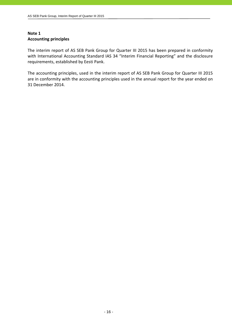# **Note 1 Accounting principles**

The interim report of AS SEB Pank Group for Quarter III 2015 has been prepared in conformity with International Accounting Standard IAS 34 "Interim Financial Reporting" and the disclosure requirements, established by Eesti Pank.

The accounting principles, used in the interim report of AS SEB Pank Group for Quarter III 2015 are in conformity with the accounting principles used in the annual report for the year ended on 31 December 2014.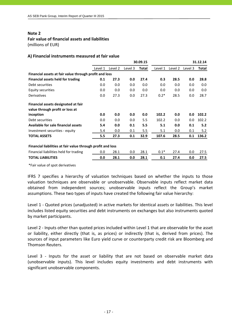# **Fair value of financial assets and liabilities**

(millions of EUR)

#### **A) Financial instruments measured at fair value**

|                                                             |         |         |         | 30.09.15 |         |         |         | 31.12.14 |
|-------------------------------------------------------------|---------|---------|---------|----------|---------|---------|---------|----------|
|                                                             | Level 1 | Level 2 | Level 3 | Total    | Level 1 | Level 2 | Level 3 | Total    |
| Financial assets at fair value through profit and loss      |         |         |         |          |         |         |         |          |
| <b>Financial assets held for trading</b>                    | 0.1     | 27.3    | 0.0     | 27.4     | 0.3     | 28.5    | 0.0     | 28.8     |
| Debt securities                                             | 0.0     | 0.0     | 0.0     | 0.0      | 0.0     | 0.0     | 0.0     | 0.0      |
| Equity securities                                           | 0.0     | 0.0     | 0.0     | 0.0      | 0.0     | 0.0     | 0.0     | 0.0      |
| <b>Derivatives</b>                                          | 0.0     | 27.3    | 0.0     | 27.3     | $0.2*$  | 28.5    | 0.0     | 28.7     |
| Financial assets designated at fair                         |         |         |         |          |         |         |         |          |
| value through profit or loss at                             |         |         |         |          |         |         |         |          |
| inception                                                   | 0.0     | 0.0     | 0.0     | 0.0      | 102.2   | 0.0     | 0.0     | 102.2    |
| Debt securities                                             | 0.0     | 0.0     | 0.0     | 5.5      | 102.2   | 0.0     | 0.0     | 102.2    |
| <b>Available for sale financial assets</b>                  | 5.4     | 0.0     | 0.1     | 5.5      | 5.1     | 0.0     | 0.1     | 5.2      |
| Investment securities - equity                              | 5.4     | 0.0     | 0.1     | 5.5      | 5.1     | 0.0     | 0.1     | 5.2      |
| <b>TOTAL ASSETS</b>                                         | 5.5     | 27.3    | 0.1     | 32.9     | 107.6   | 28.5    | 0.1     | 136.2    |
| Financial liabilities at fair value through profit and loss |         |         |         |          |         |         |         |          |
| Financial liabilities held for trading                      | 0.0     | 28.1    | 0.0     | 28.1     | $0.1*$  | 27.4    | 0.0     | 27.5     |
| <b>TOTAL LIABILITIES</b>                                    | 0.0     | 28.1    | 0.0     | 28.1     | 0.1     | 27.4    | 0.0     | 27.5     |
|                                                             |         |         |         |          |         |         |         |          |

\*Fair value of spot derivatives

IFRS 7 specifies a hierarchy of valuation techniques based on whether the inputs to those valuation techniques are observable or unobservable. Observable inputs reflect market data obtained from independent sources; unobservable inputs reflect the Group's market assumptions. These two types of inputs have created the following fair value hierarchy:

Level 1 - Quoted prices (unadjusted) in active markets for identical assets or liabilities. This level includes listed equity securities and debt instruments on exchanges but also instruments quoted by market participants.

Level 2 ‐ Inputs other than quoted prices included within Level 1 that are observable for the asset or liability, either directly (that is, as prices) or indirectly (that is, derived from prices). The sources of input parameters like Euro yield curve or counterparty credit risk are Bloomberg and Thomson Reuters.

Level 3 - Inputs for the asset or liability that are not based on observable market data (unobservable inputs). This level includes equity investments and debt instruments with significant unobservable components.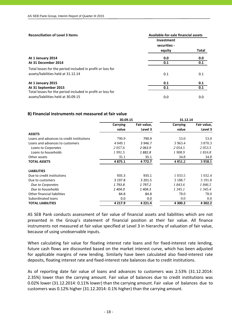| <b>Reconciliation of Level 3 Items</b>                     | Available-for-sale financial assets |       |  |  |  |
|------------------------------------------------------------|-------------------------------------|-------|--|--|--|
|                                                            | Investment                          |       |  |  |  |
|                                                            | securities -                        |       |  |  |  |
|                                                            | equity                              | Total |  |  |  |
| At 1 January 2014                                          | 0.0                                 | 0.0   |  |  |  |
| At 31 December 2014                                        | 0.1                                 | 0.1   |  |  |  |
| Total losses for the period included in profit or loss for |                                     |       |  |  |  |
| assets/liabilities held at 31.12.14                        | 0.1                                 | 0.1   |  |  |  |
| At 1 January 2015                                          | 0.1                                 | 0.1   |  |  |  |
| At 31 September 2015                                       | 0.1                                 | 0.1   |  |  |  |
| Total losses for the period included in profit or loss for |                                     |       |  |  |  |
| assets/liabilities held at 30.09.15                        | 0.0                                 | 0.0   |  |  |  |

#### **B) Financial instruments not measured at fair value**

|                                           | 30.09.15    |             | 31.12.14   |             |
|-------------------------------------------|-------------|-------------|------------|-------------|
|                                           | Carrying    | Fair value, | Carrying   | Fair value, |
|                                           | value       | Level 3     | value      | Level 3     |
| <b>ASSETS</b>                             |             |             |            |             |
| Loans and advances to credit institutions | 790.9       | 790.9       | 53.0       | 53.0        |
| Loans and advances to customers           | 4 0 4 9 .1  | 3 9 4 6.7   | 3 9 6 3.4  | 3 870.3     |
| Loans to Corporates                       | 2057.6      | 2063.9      | 2054.5     | 2053.5      |
| Loans to households                       | 1991.5      | 1882.8      | 1908.9     | 1816.8      |
| Other assets                              | 35.1        | 35.1        | 34.8       | 34.8        |
| <b>TOTAL ASSETS</b>                       | 4 8 7 5 . 1 | 4 7 7 2 . 7 | 4 0 5 1.2  | 3 9 5 8.1   |
| <b>LIABILITIES</b>                        |             |             |            |             |
| Due to credit institutions                | 935.3       | 935.1       | 1 0 3 3.5  | 1 0 3 2.4   |
| Due to customers                          | 3 197.8     | 3 201.5     | 3 1 8 8 .7 | 3 191.8     |
| Due to Corporates                         | 1793.8      | 1 797.2     | 1843.6     | 1846.5      |
| Due to households                         | 1404.0      | 1404.3      | 1 345.1    | 1 3 4 5 . 4 |
| Other financial liabilities               | 84.8        | 84.8        | 78.0       | 78.0        |
| Subordinated loans                        | 0.0         | 0.0         | 0.0        | 0.0         |
| <b>TOTAL LIABILITIES</b>                  | 4 2 1 7 . 9 | 4 2 2 1.4   | 4 300.2    | 4 302.2     |

AS SEB Pank conducts assessment of fair value of financial assets and liabilities which are not presented in the Group's statement of financial position at their fair value. All finance instruments not measured at fair value specified at Level 3 in hierarchy of valuation of fair value, because of using unobservable inputs.

When calculating fair value for floating interest rate loans and for fixed-interest rate lending, future cash flows are discounted based on the market interest curve, which has been adjusted for applicable margins of new lending. Similarly have been calculated also fixed-interest rate deposits, floating interest rate and fixed-interest rate balances due to credit institutions.

As of reporting date fair value of loans and advances to customers was 2.53% (31.12.2014: 2.35%) lower than the carrying amount. Fair value of balances due to credit institutions was 0.02% lower (31.12.2014: 0.11% lower) than the carrying amount. Fair value of balances due to customers was 0.12% higher (31.12.2014: 0.1% higher) than the carrying amount.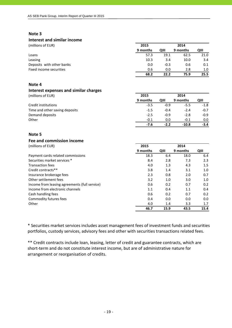# **Interest and similar income**

|  | (millions of EUP |  |
|--|------------------|--|
|  |                  |  |

| (millions of EUR)         | 2015     |               | 2014        |      |
|---------------------------|----------|---------------|-------------|------|
|                           | 9 months | QIII          | 9 months    | QIII |
| Loans                     | 57.3     | 19.1          | 62.5        | 21.0 |
| Leasing                   | 10.3     |               | 10.0<br>3.4 | 3.4  |
| Deposits with other banks |          | $-0.3$<br>0.0 | 0.6         | 0.1  |
| Fixed income securities   |          | 0.6           | 0.0<br>2.8  | 1.0  |
|                           | 68.2     | 22.2          | 75.9        | 25.5 |

#### **Note 4**

# **Interest expenses and similar charges**

| (millions of EUR)              | 2015     |        | 2014     |        |
|--------------------------------|----------|--------|----------|--------|
|                                | 9 months | QIII   | 9 months | QIII   |
| Credit institutions            | $-3.5$   | $-0.9$ | $-5.5$   | $-1.8$ |
| Time and other saving deposits | $-1.5$   | $-0.4$ | $-2.4$   | $-0.7$ |
| Demand deposits                | $-2.5$   | $-0.9$ | $-2.8$   | $-0.9$ |
| Other                          | $-0.1$   | 0.0    | $-0.1$   | 0.0    |
|                                | -7.6     | $-2.2$ | $-10.8$  | $-3.4$ |

#### **Note 5**

#### **Fee and commission income**

(millions of EUR) **2015 2014**

|                                               | 9 months | QIII | 9 months | QIII |
|-----------------------------------------------|----------|------|----------|------|
| Payment cards related commissions             | 18.3     | 6.4  | 18.0     | 6.4  |
| Securities market services *                  | 8.4      | 2.8  | 7.3      | 2.3  |
| <b>Transaction fees</b>                       | 4.0      | 1.3  | 4.3      | 1.5  |
| Credit contracts**                            | 3.8      | 1.4  | 3.1      | 1.0  |
| Insurance brokerage fees                      | 2.3      | 0.8  | 2.0      | 0.7  |
| Other settlement fees                         | 3.2      | 1.0  | 3.0      | 1.0  |
| Income from leasing agreements (full service) | 0.6      | 0.2  | 0.7      | 0.2  |
| Income from electronic channels               | 1.1      | 0.4  | 1.1      | 0.4  |
| Cash handling fees                            | 0.6      | 0.2  | 0.7      | 0.2  |
| Commodity futures fees                        | 0.4      | 0.0  | 0.0      | 0.0  |
| Other                                         | 4.0      | 1.4  | 3.3      | 1.7  |
|                                               | 46.7     | 15.9 | 43.5     | 15.4 |

\* Securities market services includes asset management fees of investment funds and securities portfolios, custody services, advisory fees and other with securities transactions related fees.

\*\* Credit contracts include loan, leasing, letter of credit and guarantee contracts, which are short‐term and do not constitute interest income, but are of administrative nature for arrangement or reorganisation of credits.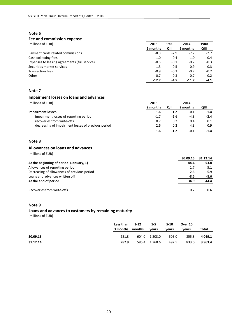#### **Fee and commission expense**

(millions of EUR) **2015 1900 2014 1900**

|                                               | 9 months | QIII   | 9 months | QIII   |
|-----------------------------------------------|----------|--------|----------|--------|
| Payment cards related commissions             | $-8.3$   | $-2.9$ | $-7.7$   | $-2.7$ |
| Cash collecting fees                          | $-1.0$   | $-0.4$ | $-1.0$   | $-0.4$ |
| Expenses to leasing agreements (full service) | $-0.5$   | $-0.1$ | $-0.7$   | $-0.3$ |
| Securities market services                    | $-1.3$   | $-0.5$ | $-0.9$   | $-0.3$ |
| <b>Transaction fees</b>                       | $-0.9$   | $-0.3$ | $-0.7$   | $-0.2$ |
| Other                                         | $-0.7$   | $-0.3$ | $-0.7$   | $-0.2$ |
|                                               | $-12.7$  | -4.5   | $-11.7$  | $-4.1$ |

#### **Note 7**

# **Impairment losses on loans and advances**

| (millions of EUR)                                  | 2015     |        | 2014     |        |
|----------------------------------------------------|----------|--------|----------|--------|
|                                                    | 9 months | QIII   | 9 months | QIII   |
| Impairment losses                                  | 1.6      | $-1.2$ | $-0.1$   | $-1.4$ |
| impairment losses of reporting period              | $-1.7$   | $-1.6$ | $-4.8$   | $-2.4$ |
| recoveries from write-offs                         | 0.7      | 0.2    | 0.4      | 0.1    |
| decreasing of impairment losses of previous period | 2.6      | 0.2    | 4.3      | 0.9    |
|                                                    | 1.6      | $-1.7$ | -0.1     | $-1.4$ |

#### **Note 8**

#### **Allowances on loans and advances**

(millions of EUR)

|                                             | 30.09.15 | 31.12.14 |
|---------------------------------------------|----------|----------|
| At the beginning of period (January, 1)     | 44.4     | 53.8     |
| Allowances of reporting period              | 1.7      | 5.1      |
| Decreasing of allowances of previous period | $-2.6$   | $-5.9$   |
| Loans and advances written off              | $-8.6$   | $-8.6$   |
| At the end of period                        | 34.9     | 44.4     |
| Recoveries from write-offs                  | 0.7      | 0.6      |

#### **Note 9**

#### **Loans and advances to customers by remaining maturity**

(millions of EUR)

|          | Less than<br>3 months months | $3 - 12$ | $1-5$<br>vears | $5 - 10$<br>vears | Over 10<br>vears | Total   |
|----------|------------------------------|----------|----------------|-------------------|------------------|---------|
| 30.09.15 | 281.3                        | 604.0    | 1 803.0        | 505.0             | 855.8            | 4 049.1 |
| 31.12.14 | 282.9                        |          | 586.4 1768.6   | 492.5             | 833.0            | 3 963.4 |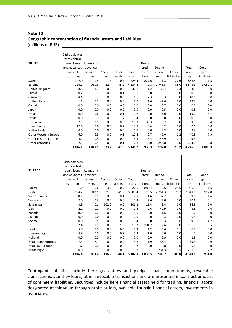# **Note 10 Geographic concentration of financial assets and liabilities**

(millions of EUR)

|                      | Cash, balances |           |         |        |             |          |         |              |             |             |
|----------------------|----------------|-----------|---------|--------|-------------|----------|---------|--------------|-------------|-------------|
|                      | with central   |           |         |        |             |          |         |              |             |             |
| 30.09.15             | bank, loans    | Loans and |         |        |             | Due to   |         |              |             |             |
|                      | and advances   | advances  |         |        |             | credit   | Due to  |              | Total       | Contin-     |
|                      | to credit      | to custo- | Securi- | Other  | Total       | institu- | custo-  | Other        | liabili-    | gent        |
|                      | institutions   | mers      | ties    | assets | assets      | tions    | mers    | liabili-ties | ties        | liabilities |
| Sweden               | 722.9          | 0.5       | 1.3     | 0.7    | 725.4       | 827.6    | 11.3    | 27.6         | 866.5       | 1.3         |
| Estonia              | 226.2          | 4 0 3 0.6 | 32.4    | 45.2   | 4 3 3 4 . 4 | 9.8      | 2 748.5 | 85.0         | 2 843.3     | 1059.1      |
| United Kingdom       | 28.8           | 1.3       | 0.0     | 0.0    | 30.1        | 1.2      | 32.4    | 0.3          | 33.9        | 0.0         |
| Russia               | 0.2            | 0.0       | 0.0     | $-0.1$ | 0.1         | 0.0      | 0.1     | 0.0          | 0.1         | 0.0         |
| Germany              | 4.4            | 0.2       | 0.0     | 0.0    | 4.6         | 7.3      | 3.3     | 0.0          | 10.6        | 5.0         |
| <b>United States</b> | 1.1            | 0.1       | 0.0     | 0.0    | 1.2         | 1.6      | 47.6    | 0.0          | 49.2        | 0.0         |
| Canada               | 0.0            | 0.0       | 0.0     | 0.0    | 0.0         | 0.0      | 0.7     | 0.0          | 0.7         | 0.0         |
| Japan                | 0.0            | 0.0       | 0.0     | 0.0    | 0.0         | 0.0      | 0.5     | 0.0          | 0.5         | 0.0         |
| Finland              | 0.0            | 0.6       | 0.0     | 0.1    | 0.7         | 0.0      | 15.0    | 0.0          | 15.0        | 3.7         |
| Latvia               | 0.0            | 0.0       | 0.0     | 1.4    | 1.4         | 0.0      | 0.0     | 0.0          | 0.0         | 0.0         |
| Lithuania            | 2.5            | 8.5       | 0.0     | 0.2    | 11.2        | 83.3     | 6.2     | 0.0          | 89.5        | 0.4         |
| Luxembourg           | 17.6           | 0.0       | 0.0     | 0.2    | 17.8        | 0.4      | 0.2     | 0.0          | 0.6         | 0.0         |
| Netherlands          | 0.0            | 0.0       | 0.0     | 0.0    | 0.0         | 0.0      | 2.3     | 0.0          | 2.3         | 0.0         |
| Other Western Europe | 6.0            | 6.3       | 0.0     | 0.1    | 12.4        | 0.7      | 40.0    | 0.2          | 40.9        | 7.9         |
| Other Eastern Europe | 4.1            | 0.5       | 0.0     | 0.0    | 4.6         | 3.4      | 45.9    | 0.1          | 49.4        | 0.1         |
| Other countries      | 2.3            | 0.5       | 0.0     | 0.1    | 2.8         | 0.0      | 243.8   | 0.0          | 243.8       | 2.8         |
|                      | 1 0 1 6 . 1    | 4 049.1   | 33.7    | 47.9   | 5 1 4 6 . 7 | 935.3    | 3 197.8 | 113.2        | 4 2 4 6 . 3 | 1080.3      |

|                   | Cash, balances |           |         |        |         |          |             |              |            |             |
|-------------------|----------------|-----------|---------|--------|---------|----------|-------------|--------------|------------|-------------|
|                   | with central   |           |         |        |         |          |             |              |            |             |
| 31.12.14          | bank, loans    | Loans and |         |        |         | Due to   |             |              |            |             |
|                   | and advances   | advances  |         |        |         | credit   | Due to      |              | Total      | Contin-     |
|                   | to credit      | to custo- | Securi- | Other  | Total   | institu- | custo-      | Other        | liabili-   | gent        |
|                   | institutions   | mers      | ties    | assets | assets  | tions    | mers        | liabili-ties | ties       | liabilities |
| Rootsi            | 21.9           | 0.6       | 3.2     | 0.9    | 26.6    | 888.4    | 12.6        | 25.5         | 926.5      | 1.5         |
| Eesti             | 984.2          | 3 943.5   | 31.5    | 41.2   | 5 000.4 | 19.5     | 2 7 5 1 . 3 | 78.7         | 2 849.5    | 912.8       |
| Suurbritannia     | 0.9            | 1.5       | 0.0     | 0.1    | 2.5     | 1.6      | 37.7        | 0.3          | 39.6       | 1.6         |
| Venemaa           | 2.0            | 0.3       | 0.0     | 0.0    | 2.3     | 3.6      | 47.0        | 0.0          | 50.6       | 0.1         |
| Saksamaa          | 3.9            | 0.1       | 102.2   | 0.0    | 106.2   | 11.4     | 3.4         | 0.0          | 14.8       | 5.0         |
| <b>USA</b>        | 2.2            | 0.2       | 0.0     | 0.0    | 2.4     | 0.6      | 42.9        | 0.0          | 43.5       | 0.0         |
| Kanada            | 0.0            | 0.0       | 0.0     | 0.0    | 0.0     | 0.0      | 1.6         | 0.0          | 1.6        | 0.0         |
| Jaapan            | 0.0            | 0.0       | 0.0     | 0.0    | 0.0     | 0.0      | 0.3         | 0.0          | 0.3        | 0.0         |
| Soome             | 0.0            | 0.8       | 0.0     | 0.6    | 1.4     | 0.0      | 9.3         | 0.6          | 9.9        | 4.7         |
| Läti              | 2.4            | 9.0       | 0.0     | 1.8    | 13.2    | 104.2    | 2.6         | 0.0          | 106.8      | 0.5         |
| Leedu             | 5.0            | 0.0       | 0.0     | 0.3    | 5.3     | 1.2      | 5.6         | 0.1          | 6.9        | 0.0         |
| Luksemburg        | 4.9            | 0.0       | 0.0     | 0.3    | 5.2     | 1.0      | 0.0         | 0.0          | 1.0        | 0.0         |
| Holland           | 0.0            | 0.0       | 0.0     | 0.0    | 0.0     | 0.0      | 2.9         | 0.0          | 2.9        | 0.0         |
| Muu Lääne-Euroopa | 7.3            | 7.1       | 0.0     | 0.4    | 14.8    | 1.9      | 33.4        | 0.1          | 35.4       | 2.9         |
| Muu Ida-Euroopa   | 1.7            | 0.0       | 0.0     | 0.0    | 1.7     | 0.0      | 6.8         | 0.0          | 6.8        | 0.0         |
| Muud riigid       | 0.0            | 0.3       | 0.0     | 0.5    | 0.8     | 0.1      | 231.3       | 0.5          | 231.9      | 2.7         |
|                   | 1 0 3 6 . 4    | 3 9 6 3.4 | 136.9   | 46.1   | 5 182.8 | 1033.5   | 3 188.7     | 105.8        | 4 3 2 8 .0 | 931.8       |

Contingent liabilities include here guarantees and pledges, loan commitments, revocable transactions, stand‐by loans, other revocable transactions and are presented in contract amount of contingent liabilities. Securities include here financial assets held for trading, financial assets designated at fair value through profit or loss, available‐for‐sale financial assets, investments in associates.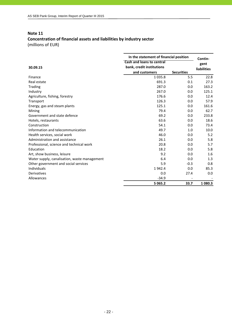# **Concentration of financial assets and liabilities by industry sector** (millions of EUR)

|                                              | In the statement of financial position | Contin-           |                    |
|----------------------------------------------|----------------------------------------|-------------------|--------------------|
|                                              | <b>Cash and loans to central</b>       |                   | gent               |
| 30.09.15                                     | bank, credit institutions              |                   | <b>liabilities</b> |
|                                              | and customers                          | <b>Securities</b> |                    |
| Finance                                      | 1 0 3 5 . 8                            | 5.5               | 22.8               |
| Real estate                                  | 691.3                                  | 0.1               | 27.3               |
| Trading                                      | 287.0                                  | 0.0               | 163.2              |
| Industry                                     | 267.0                                  | 0.0               | 125.1              |
| Agriculture, fishing, forestry               | 176.6                                  | 0.0               | 12.4               |
| Transport                                    | 126.3                                  | 0.0               | 57.9               |
| Energy, gas and steam plants                 | 125.1                                  | 0.0               | 161.6              |
| Mining                                       | 79.4                                   | 0.0               | 62.7               |
| Government and state defence                 | 69.2                                   | 0.0               | 233.8              |
| Hotels, restaurants                          | 63.6                                   | 0.0               | 18.6               |
| Construction                                 | 54.1                                   | 0.0               | 73.4               |
| Information and telecommunication            | 49.7                                   | 1.0               | 10.0               |
| Health services, social work                 | 46.0                                   | 0.0               | 5.2                |
| Administration and assistance                | 26.1                                   | 0.0               | 5.8                |
| Professional, science and technical work     | 20.8                                   | 0.0               | 5.7                |
| Education                                    | 18.2                                   | 0.0               | 5.8                |
| Art, show business, leisure                  | 9.2                                    | 0.0               | 1.6                |
| Water supply, canalisation, waste management | 6.4                                    | 0.0               | 1.3                |
| Other government and social services         | 5.9                                    | $-0.3$            | 0.8                |
| Individuals                                  | 1942.4                                 | 0.0               | 85.3               |
| Derivatives                                  | 0.0                                    | 27.4              | 0.0                |
| Allowances                                   | $-34.9$                                |                   |                    |
|                                              | 5 0 6 5 . 2                            | 33.7              | 1 080.3            |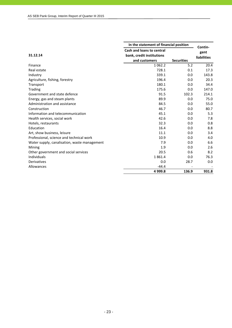|                                              | In the statement of financial position | Contin-           |                    |
|----------------------------------------------|----------------------------------------|-------------------|--------------------|
|                                              | <b>Cash and loans to central</b>       |                   | gent               |
| 31.12.14                                     | bank, credit institutions              |                   | <b>liabilities</b> |
|                                              | and customers                          | <b>Securities</b> |                    |
| Finance                                      | 1 0 6 2 . 2                            | 5.2               | 20.4               |
| Real estate                                  | 728.1                                  | 0.1               | 17.3               |
| Industry                                     | 339.1                                  | 0.0               | 143.8              |
| Agriculture, fishing, forestry               | 196.4                                  | 0.0               | 20.3               |
| Transport                                    | 180.1                                  | 0.0               | 34.4               |
| <b>Trading</b>                               | 175.6                                  | 0.0               | 147.0              |
| Government and state defence                 | 91.5                                   | 102.3             | 214.1              |
| Energy, gas and steam plants                 | 89.9                                   | 0.0               | 75.0               |
| Administration and assistance                | 84.5                                   | 0.0               | 55.0               |
| Construction                                 | 46.7                                   | 0.0               | 80.7               |
| Information and telecommunication            | 45.1                                   | 0.0               | 5.3                |
| Health services, social work                 | 42.6                                   | 0.0               | 7.8                |
| Hotels, restaurants                          | 32.3                                   | 0.0               | 0.8                |
| Education                                    | 16.4                                   | 0.0               | 8.8                |
| Art, show business, leisure                  | 11.1                                   | 0.0               | 3.4                |
| Professional, science and technical work     | 10.9                                   | 0.0               | 4.0                |
| Water supply, canalisation, waste management | 7.9                                    | 0.0               | 6.6                |
| Mining                                       | 1.9                                    | 0.0               | 2.6                |
| Other government and social services         | 20.5                                   | 0.6               | 8.2                |
| Individuals                                  | 1861.4                                 | 0.0               | 76.3               |
| Derivatives                                  | 0.0                                    | 28.7              | 0.0                |
| Allowances                                   | $-44.4$                                |                   |                    |
|                                              | 4 9 9 9.8                              | 136.9             | 931.8              |